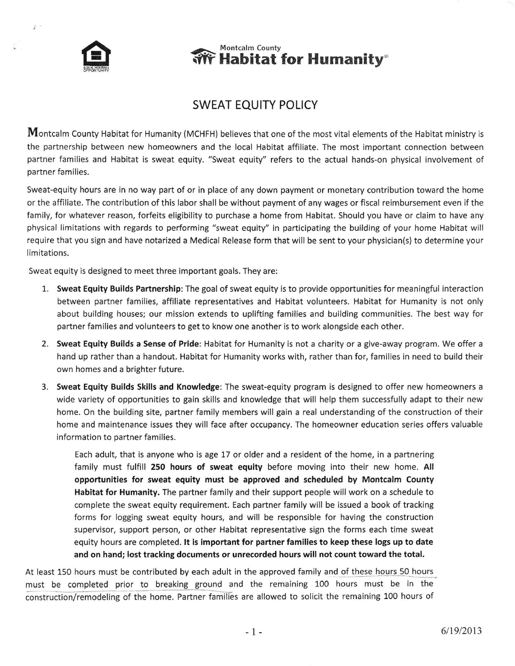

 $\mathbb{Z}$ .

## **Wontcalm County**<br>**We Habitat for Humanity**®

## SWEAT EQUITY POLICY

Montcalm County Habitat for Humanity (MCHFH) believes that one of the most vital elements of the Habitat ministry is the partnership between new homeowners and the local Habitat affiliate. The most important connection between partner families and Habitat is sweat equity. "Sweat equity" refers to the actual hands-on physical involvement of partner families.

Sweat-equity hours are in no way part of or in place of any down payment or monetary contribution toward the home or the affiliate. The contribution of this labor shall be without payment of any wages or fiscal reimbursement even if the family, for whatever reason, forfeits eligibility to purchase a home from Habitat. Should you have or claim to have any physical limitations with regards to performing "sweat equity" in participating the building of your home Habitat will require that you sign and have notarized a Medical Release form that will be sent to your physician(s) to determine your limitations.

Sweat equity is designed to meet three important goals. They are:

- 1. Sweat Equity Builds Partnership: The goal of sweat equity is to provide opportunities for meaningful interaction between partner families, affiliate representatives and Habitat volunteers. Habitat for Humanity is not only about building houses; our mission extends to uplifting families and building communities. The best way for partner families and volunteers to get to know one another is to work alongside each other.
- 2. Sweat Equity Builds a Sense of Pride: Habitat for Humanity is not a charity or a give-away program. We offer a hand up rather than a handout. Habitat for Humanity works with, rather than for, families in need to build their own homes and a brighter future.
- 3. Sweat Equity Builds Skills and Knowledge: The sweat-equity program is designed to offer new homeowners <sup>a</sup> wide variety of opportunities to gain skills and knowledge that will help them successfully adapt to their new home. On the building site, partner family members will gain a real understanding of the construction of their home and maintenance issues they will face after occupancy. The homeowner education series offers valuable information to partner families.

Each adult, that is anyone who is age L7 or older and a resident of the home, in a partnering family must fulfill 250 hours of sweat equity before moving into their new home. All opportunities for sweat equity must be approved and scheduled by Montcalm County Habitat for Humanity, The partner family and their support people will work on a schedule to complete the sweat equity requirement. Each partner family will be issued a book of tracking forms for logging sweat equity hours, and will be responsible for having the construction supervisor, support person, or other Habitat representative sign the forms each time sweat equity hours are completed. lt is important for partner families to keep these logs up to date and on hand; lost tracking documents or unrecorded hours will not count toward the total.

At least 150 hours must be contributed by each adult in the approved family and of these hours 50 hours must be completed prior to breaking ground and the remaining 100 hours must be in the construction/remodeling of the home. Partner families are allowed to solicit the remaining 100 hours of